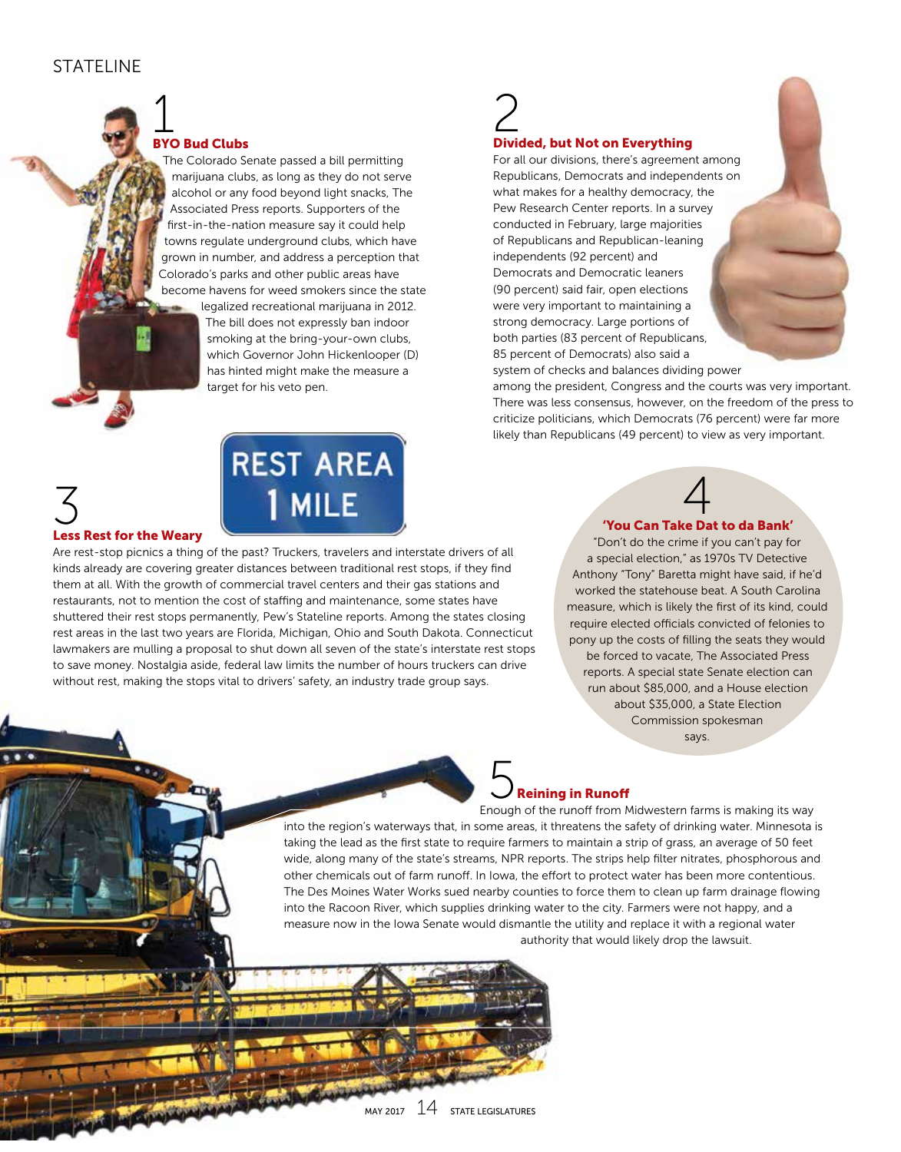### STATFI INF

# 1 BYO Bud Clubs

The Colorado Senate passed a bill permitting marijuana clubs, as long as they do not serve alcohol or any food beyond light snacks, The Associated Press reports. Supporters of the first-in-the-nation measure say it could help towns regulate underground clubs, which have grown in number, and address a perception that Colorado's parks and other public areas have become havens for weed smokers since the state

> legalized recreational marijuana in 2012. The bill does not expressly ban indoor smoking at the bring-your-own clubs, which Governor John Hickenlooper (D) has hinted might make the measure a target for his veto pen.

### 3

**REST AREA MILE** 

### Less Rest for the Weary

Are rest-stop picnics a thing of the past? Truckers, travelers and interstate drivers of all kinds already are covering greater distances between traditional rest stops, if they find them at all. With the growth of commercial travel centers and their gas stations and restaurants, not to mention the cost of staffing and maintenance, some states have shuttered their rest stops permanently, Pew's Stateline reports. Among the states closing rest areas in the last two years are Florida, Michigan, Ohio and South Dakota. Connecticut lawmakers are mulling a proposal to shut down all seven of the state's interstate rest stops to save money. Nostalgia aside, federal law limits the number of hours truckers can drive without rest, making the stops vital to drivers' safety, an industry trade group says.

# 2 Divided, but Not on Everything

For all our divisions, there's agreement among Republicans, Democrats and independents on what makes for a healthy democracy, the Pew Research Center reports. In a survey conducted in February, large majorities of Republicans and Republican-leaning independents (92 percent) and Democrats and Democratic leaners (90 percent) said fair, open elections were very important to maintaining a strong democracy. Large portions of both parties (83 percent of Republicans, 85 percent of Democrats) also said a system of checks and balances dividing power

among the president, Congress and the courts was very important. There was less consensus, however, on the freedom of the press to criticize politicians, which Democrats (76 percent) were far more likely than Republicans (49 percent) to view as very important.

# 4 'You Can Take Dat to da Bank'

"Don't do the crime if you can't pay for a special election," as 1970s TV Detective Anthony "Tony" Baretta might have said, if he'd worked the statehouse beat. A South Carolina measure, which is likely the first of its kind, could require elected officials convicted of felonies to pony up the costs of filling the seats they would be forced to vacate, The Associated Press reports. A special state Senate election can run about \$85,000, and a House election about \$35,000, a State Election Commission spokesman says.



Enough of the runoff from Midwestern farms is making its way into the region's waterways that, in some areas, it threatens the safety of drinking water. Minnesota is taking the lead as the first state to require farmers to maintain a strip of grass, an average of 50 feet wide, along many of the state's streams, NPR reports. The strips help filter nitrates, phosphorous and other chemicals out of farm runoff. In Iowa, the effort to protect water has been more contentious. The Des Moines Water Works sued nearby counties to force them to clean up farm drainage flowing into the Racoon River, which supplies drinking water to the city. Farmers were not happy, and a measure now in the Iowa Senate would dismantle the utility and replace it with a regional water authority that would likely drop the lawsuit.

 $M$ MAY 2017  $14$  STATE LEGISLATURES